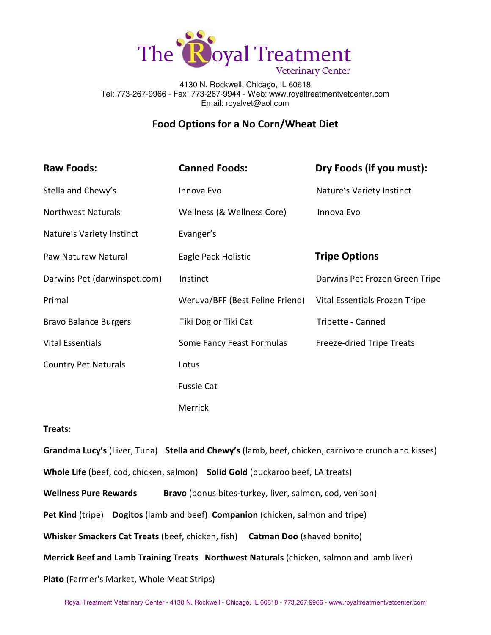

4130 N. Rockwell, Chicago, IL 60618 Tel: 773-267-9966 - Fax: 773-267-9944 - Web: www.royaltreatmentvetcenter.com Email: royalvet@aol.com

# Food Options for a No Corn/Wheat Diet

| <b>Raw Foods:</b>            | <b>Canned Foods:</b>            | Dry Foods (if you must):       |
|------------------------------|---------------------------------|--------------------------------|
| Stella and Chewy's           | Innova Evo                      | Nature's Variety Instinct      |
| <b>Northwest Naturals</b>    | Wellness (& Wellness Core)      | Innova Evo                     |
| Nature's Variety Instinct    | Evanger's                       |                                |
| Paw Naturaw Natural          | Eagle Pack Holistic             | <b>Tripe Options</b>           |
| Darwins Pet (darwinspet.com) | Instinct                        | Darwins Pet Frozen Green Tripe |
| Primal                       | Weruva/BFF (Best Feline Friend) | Vital Essentials Frozen Tripe  |
| <b>Bravo Balance Burgers</b> | Tiki Dog or Tiki Cat            | Tripette - Canned              |
| <b>Vital Essentials</b>      | Some Fancy Feast Formulas       | Freeze-dried Tripe Treats      |
| <b>Country Pet Naturals</b>  | Lotus                           |                                |
|                              | <b>Fussie Cat</b>               |                                |
|                              | Merrick                         |                                |

## Treats:

Grandma Lucy's (Liver, Tuna) Stella and Chewy's (lamb, beef, chicken, carnivore crunch and kisses) Whole Life (beef, cod, chicken, salmon) Solid Gold (buckaroo beef, LA treats) Wellness Pure Rewards Bravo (bonus bites-turkey, liver, salmon, cod, venison) Pet Kind (tripe) Dogitos (lamb and beef) Companion (chicken, salmon and tripe) Whisker Smackers Cat Treats (beef, chicken, fish) Catman Doo (shaved bonito) Merrick Beef and Lamb Training Treats Northwest Naturals (chicken, salmon and lamb liver) Plato (Farmer's Market, Whole Meat Strips)